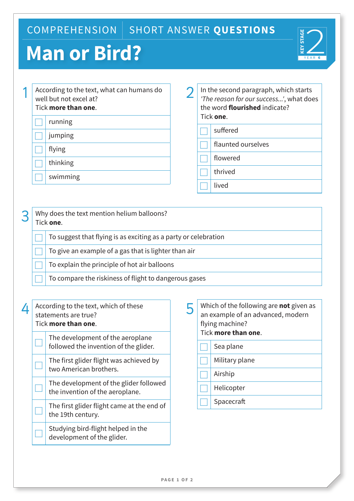## COMPREHENSION | SHORT ANSWER QUESTIONS

## **Man or Bird?**



|  | According to the text, what can humans do<br>well but not excel at?<br>Tick more than one. |
|--|--------------------------------------------------------------------------------------------|
|  | running                                                                                    |
|  | jumping                                                                                    |
|  | flying                                                                                     |
|  | thinking                                                                                   |
|  | swimming                                                                                   |
|  |                                                                                            |

2 In the second paragraph, which starts<br> *The reason for our success...'*, what does the word **flourished** indicate? Tick **one**.

- suffered
- flaunted ourselves
- flowered
- £ thrived
- 
- **lived**

## 3 Why does the text mention helium balloons? Tick **one**. £ To suggest that flying is as exciting as a party or celebration To give an example of a gas that is lighter than air To explain the principle of hot air balloons

|  | $\Box$ To compare the riskiness of flight to dangerous gases |
|--|--------------------------------------------------------------|
|--|--------------------------------------------------------------|

| 4 | According to the text, which of these<br>statements are true?<br>Tick more than one. |
|---|--------------------------------------------------------------------------------------|
|   | The development of the aeroplane                                                     |

| The development of the aeroplane                    |
|-----------------------------------------------------|
| $\frac{1}{2}$ followed the invention of the glider. |

The first glider flight was achieved by two American brothers.

The development of the glider followed the invention of the aeroplane.

The first glider flight came at the end of the 19th century.

Studying bird-flight helped in the development of the glider.

| Which of the following are <b>not</b> given as<br>an example of an advanced, modern<br>flying machine?<br>Tick more than one. |                |  |
|-------------------------------------------------------------------------------------------------------------------------------|----------------|--|
|                                                                                                                               | Sea plane      |  |
|                                                                                                                               | Military plane |  |
|                                                                                                                               | Airship        |  |
|                                                                                                                               | Helicopter     |  |
|                                                                                                                               | Spacecraft     |  |